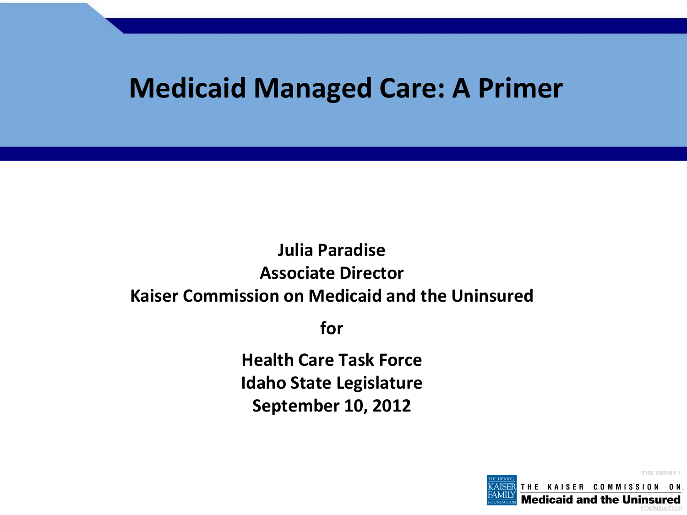## **Medicaid Managed Care: A Primer**

### **Julia Paradise Associate Director Kaiser Commission on Medicaid and the Uninsured**

**for**

**Health Care Task Force Idaho State Legislature September 10, 2012**

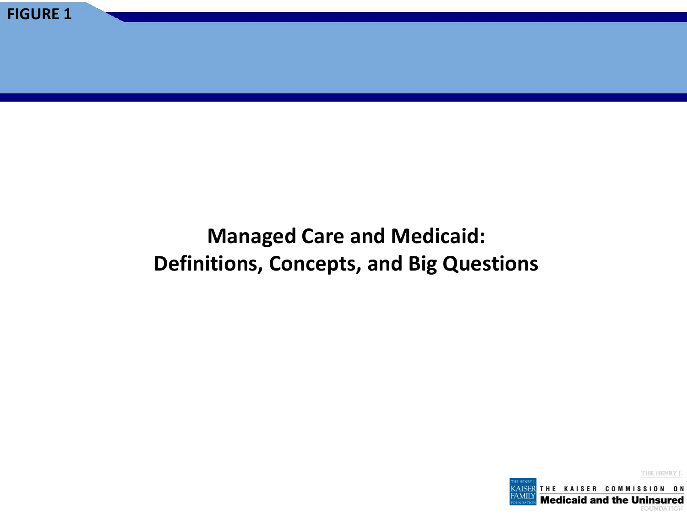### **Managed Care and Medicaid: Definitions, Concepts, and Big Questions**

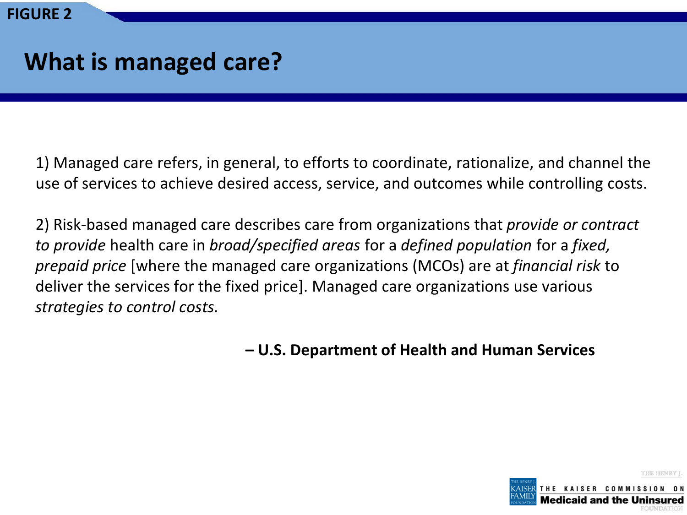### **What is managed care?**

1) Managed care refers, in general, to efforts to coordinate, rationalize, and channel the use of services to achieve desired access, service, and outcomes while controlling costs.

2) Risk-based managed care describes care from organizations that *provide or contract to provide* health care in *broad/specified areas* for a *defined population* for a *fixed, prepaid price* [where the managed care organizations (MCOs) are at *financial risk* to deliver the services for the fixed price]. Managed care organizations use various *strategies to control costs.*

**– U.S. Department of Health and Human Services** 

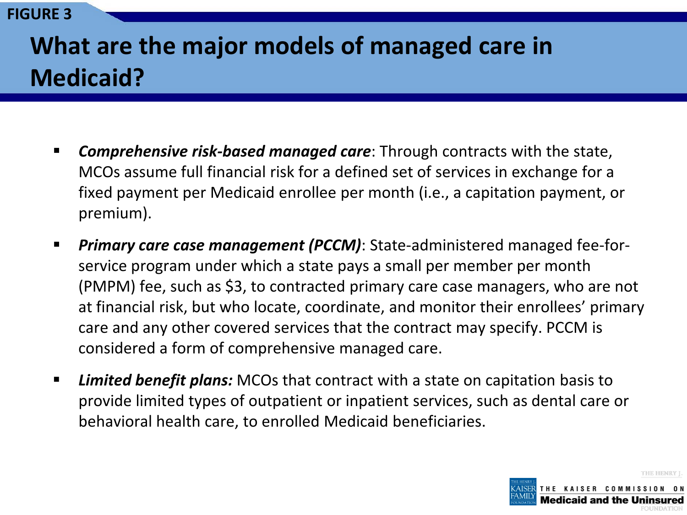## **What are the major models of managed care in Medicaid?**

- **Comprehensive risk-based managed care:** Through contracts with the state, MCOs assume full financial risk for a defined set of services in exchange for a fixed payment per Medicaid enrollee per month (i.e., a capitation payment, or premium).
- *Primary care case management (PCCM)*: State-administered managed fee-forservice program under which a state pays a small per member per month (PMPM) fee, such as \$3, to contracted primary care case managers, who are not at financial risk, but who locate, coordinate, and monitor their enrollees' primary care and any other covered services that the contract may specify. PCCM is considered a form of comprehensive managed care.
- *Limited benefit plans:* MCOs that contract with a state on capitation basis to provide limited types of outpatient or inpatient services, such as dental care or behavioral health care, to enrolled Medicaid beneficiaries.

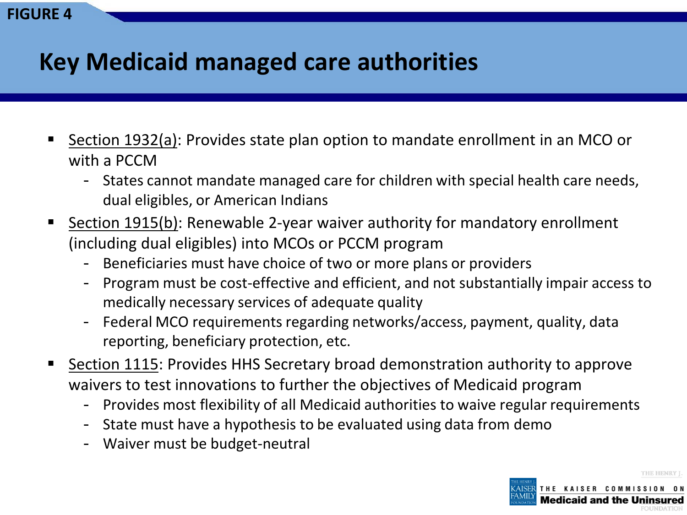### **Key Medicaid managed care authorities**

- Section 1932(a): Provides state plan option to mandate enrollment in an MCO or with a PCCM
	- States cannot mandate managed care for children with special health care needs, dual eligibles, or American Indians
- Section 1915(b): Renewable 2-year waiver authority for mandatory enrollment (including dual eligibles) into MCOs or PCCM program
	- Beneficiaries must have choice of two or more plans or providers
	- Program must be cost-effective and efficient, and not substantially impair access to medically necessary services of adequate quality
	- Federal MCO requirements regarding networks/access, payment, quality, data reporting, beneficiary protection, etc.
- Section 1115: Provides HHS Secretary broad demonstration authority to approve waivers to test innovations to further the objectives of Medicaid program
	- Provides most flexibility of all Medicaid authorities to waive regular requirements
	- State must have a hypothesis to be evaluated using data from demo
	- Waiver must be budget-neutral

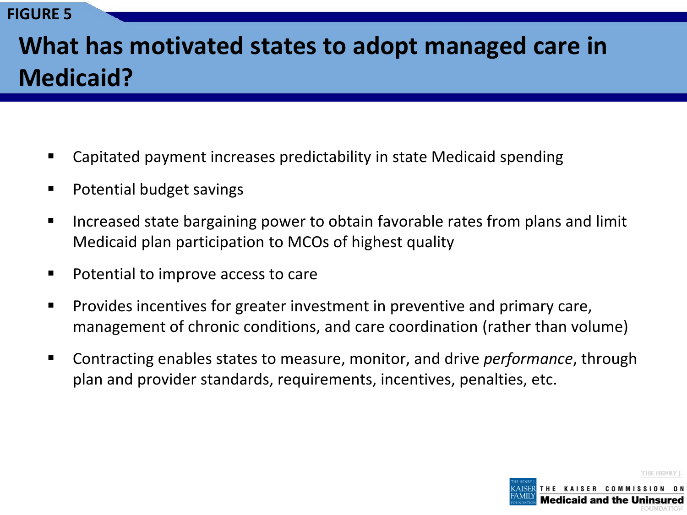## **What has motivated states to adopt managed care in Medicaid?**

- Capitated payment increases predictability in state Medicaid spending
- Potential budget savings
- **IF** Increased state bargaining power to obtain favorable rates from plans and limit Medicaid plan participation to MCOs of highest quality
- Potential to improve access to care
- **Provides incentives for greater investment in preventive and primary care,** management of chronic conditions, and care coordination (rather than volume)
- Contracting enables states to measure, monitor, and drive *performance*, through plan and provider standards, requirements, incentives, penalties, etc.

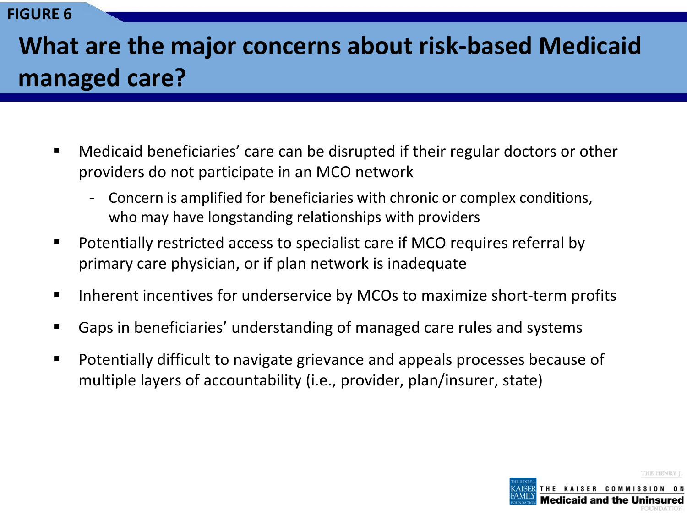## **What are the major concerns about risk-based Medicaid managed care?**

- Medicaid beneficiaries' care can be disrupted if their regular doctors or other providers do not participate in an MCO network
	- Concern is amplified for beneficiaries with chronic or complex conditions, who may have longstanding relationships with providers
- Potentially restricted access to specialist care if MCO requires referral by primary care physician, or if plan network is inadequate
- Inherent incentives for underservice by MCOs to maximize short-term profits
- Gaps in beneficiaries' understanding of managed care rules and systems
- Potentially difficult to navigate grievance and appeals processes because of multiple layers of accountability (i.e., provider, plan/insurer, state)

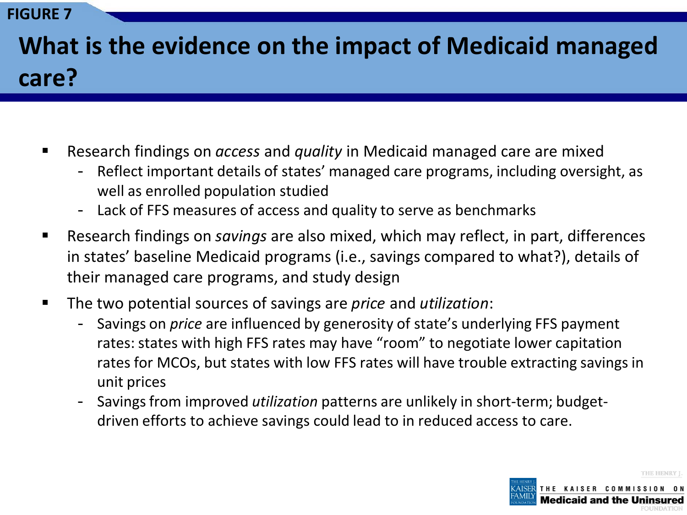# **What is the evidence on the impact of Medicaid managed care?**

- Research findings on *access* and *quality* in Medicaid managed care are mixed
	- Reflect important details of states' managed care programs, including oversight, as well as enrolled population studied
	- Lack of FFS measures of access and quality to serve as benchmarks
- Research findings on *savings* are also mixed, which may reflect, in part, differences in states' baseline Medicaid programs (i.e., savings compared to what?), details of their managed care programs, and study design
- The two potential sources of savings are *price* and *utilization*:
	- Savings on *price* are influenced by generosity of state's underlying FFS payment rates: states with high FFS rates may have "room" to negotiate lower capitation rates for MCOs, but states with low FFS rates will have trouble extracting savings in unit prices
	- Savings from improved *utilization* patterns are unlikely in short-term; budgetdriven efforts to achieve savings could lead to in reduced access to care.

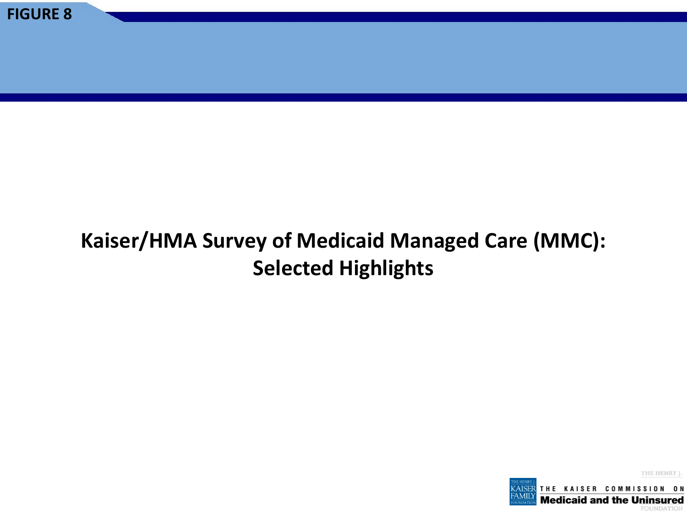### **Kaiser/HMA Survey of Medicaid Managed Care (MMC): Selected Highlights**

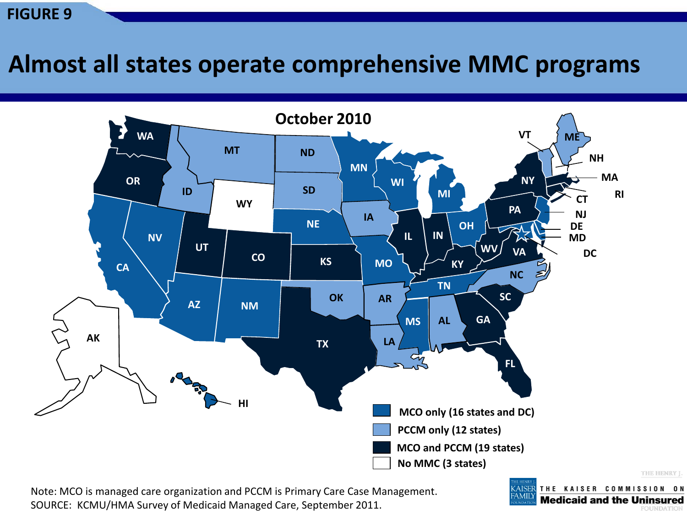### **Almost all states operate comprehensive MMC programs**



Note: MCO is managed care organization and PCCM is Primary Care Case Management. SOURCE: KCMU/HMA Survey of Medicaid Managed Care, September 2011.

THE KAISER COMMISSION ON AISER **Medicaid and the Uninsured FOUNDATION**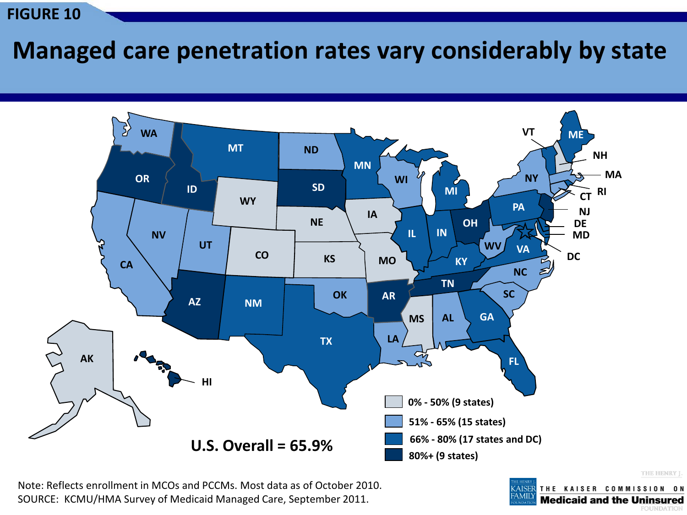### **Managed care penetration rates vary considerably by state**



Note: Reflects enrollment in MCOs and PCCMs. Most data as of October 2010. SOURCE: KCMU/HMA Survey of Medicaid Managed Care, September 2011.

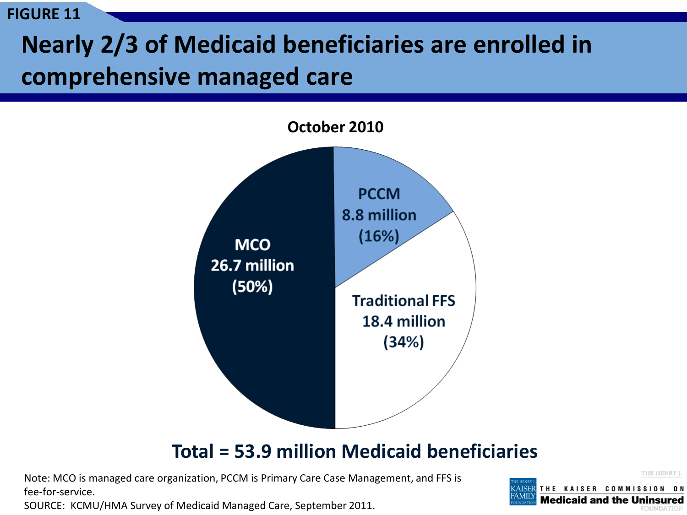# **Nearly 2/3 of Medicaid beneficiaries are enrolled in comprehensive managed care**



#### **Total = 53.9 million Medicaid beneficiaries**

Note: MCO is managed care organization, PCCM is Primary Care Case Management, and FFS is fee-for-service.

SOURCE: KCMU/HMA Survey of Medicaid Managed Care, September 2011.

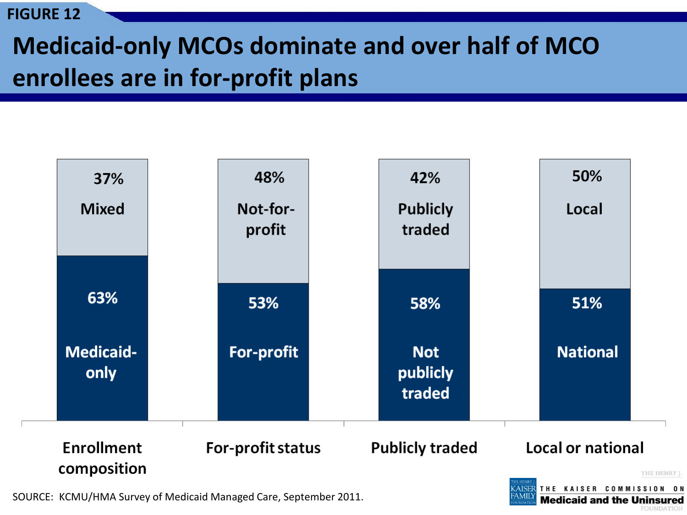# **Medicaid-only MCOs dominate and over half of MCO enrollees are in for-profit plans**



SOURCE: KCMU/HMA Survey of Medicaid Managed Care, September 2011.

**Medicaid and the Uninsured**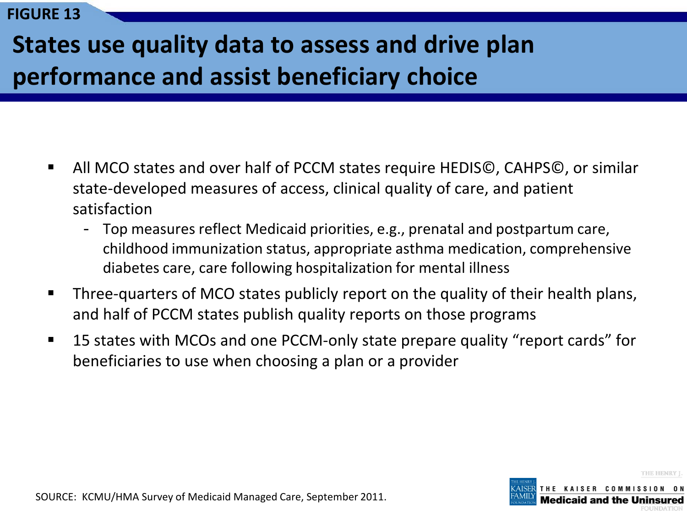# **States use quality data to assess and drive plan performance and assist beneficiary choice**

- All MCO states and over half of PCCM states require HEDIS©, CAHPS©, or similar state-developed measures of access, clinical quality of care, and patient satisfaction
	- Top measures reflect Medicaid priorities, e.g., prenatal and postpartum care, childhood immunization status, appropriate asthma medication, comprehensive diabetes care, care following hospitalization for mental illness
- Three-quarters of MCO states publicly report on the quality of their health plans, and half of PCCM states publish quality reports on those programs
- 15 states with MCOs and one PCCM-only state prepare quality "report cards" for beneficiaries to use when choosing a plan or a provider



SOURCE: KCMU/HMA Survey of Medicaid Managed Care, September 2011.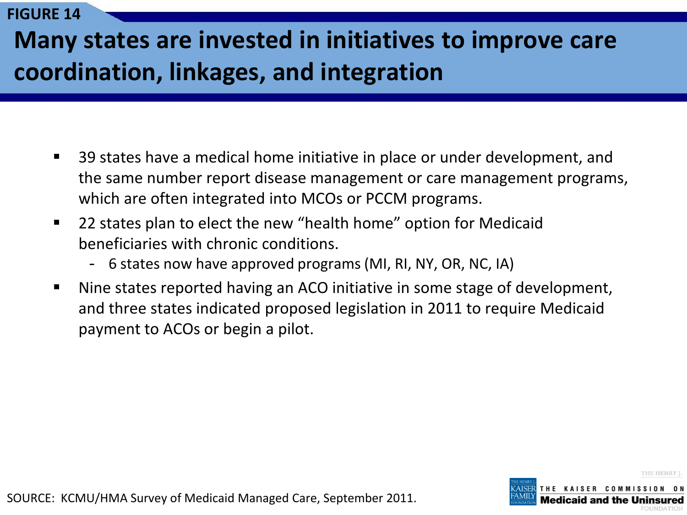# **Many states are invested in initiatives to improve care coordination, linkages, and integration**

- 39 states have a medical home initiative in place or under development, and the same number report disease management or care management programs, which are often integrated into MCOs or PCCM programs.
- 22 states plan to elect the new "health home" option for Medicaid beneficiaries with chronic conditions.
	- 6 states now have approved programs (MI, RI, NY, OR, NC, IA)
- Nine states reported having an ACO initiative in some stage of development, and three states indicated proposed legislation in 2011 to require Medicaid payment to ACOs or begin a pilot.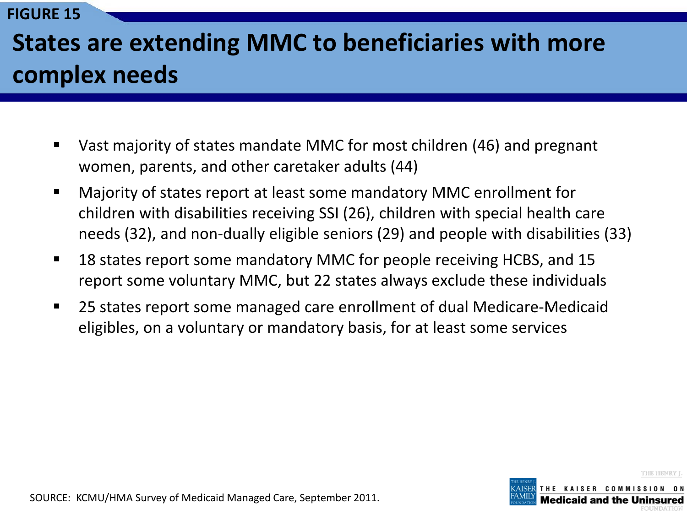# **States are extending MMC to beneficiaries with more complex needs**

- Vast majority of states mandate MMC for most children (46) and pregnant women, parents, and other caretaker adults (44)
- Majority of states report at least some mandatory MMC enrollment for children with disabilities receiving SSI (26), children with special health care needs (32), and non-dually eligible seniors (29) and people with disabilities (33)
- 18 states report some mandatory MMC for people receiving HCBS, and 15 report some voluntary MMC, but 22 states always exclude these individuals
- 25 states report some managed care enrollment of dual Medicare-Medicaid eligibles, on a voluntary or mandatory basis, for at least some services



SOURCE: KCMU/HMA Survey of Medicaid Managed Care, September 2011.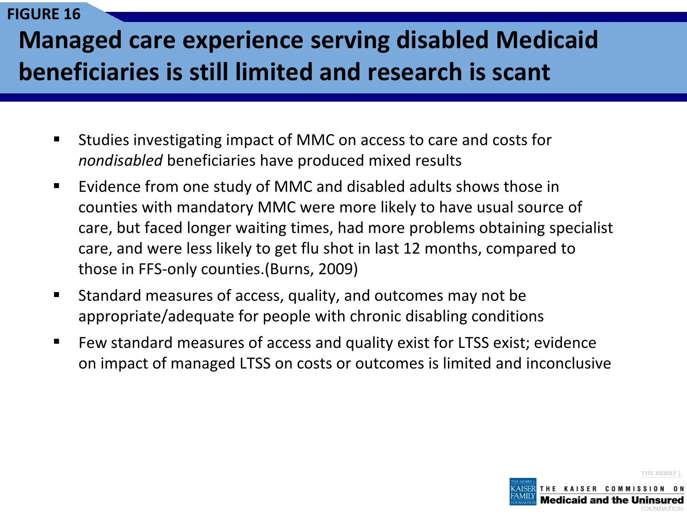## **Managed care experience serving disabled Medicaid beneficiaries is still limited and research is scant**

- Studies investigating impact of MMC on access to care and costs for *nondisabled* beneficiaries have produced mixed results
- Evidence from one study of MMC and disabled adults shows those in counties with mandatory MMC were more likely to have usual source of care, but faced longer waiting times, had more problems obtaining specialist care, and were less likely to get flu shot in last 12 months, compared to those in FFS-only counties.(Burns, 2009)
- Standard measures of access, quality, and outcomes may not be appropriate/adequate for people with chronic disabling conditions
- Few standard measures of access and quality exist for LTSS exist; evidence on impact of managed LTSS on costs or outcomes is limited and inconclusive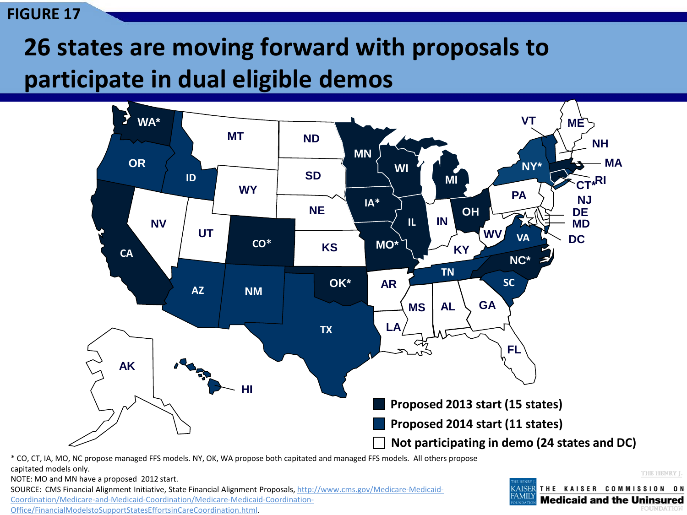# **26 states are moving forward with proposals to participate in dual eligible demos**



\* CO, CT, IA, MO, NC propose managed FFS models. NY, OK, WA propose both capitated and managed FFS models. All others propose capitated models only.

NOTE: MO and MN have a proposed 2012 start.

SOURCE: CMS Financial Alignment Initiative, State Financial Alignment Proposals, [http://www.cms.gov/Medicare-Medicaid-](http://www.cms.gov/Medicare-Medicaid-Coordination/Medicare-and-Medicaid-Coordination/Medicare-Medicaid-Coordination-Office/FinancialModelstoSupportStatesEffortsinCareCoordination.html)[Coordination/Medicare-and-Medicaid-Coordination/Medicare-Medicaid-Coordination-](http://www.cms.gov/Medicare-Medicaid-Coordination/Medicare-and-Medicaid-Coordination/Medicare-Medicaid-Coordination-Office/FinancialModelstoSupportStatesEffortsinCareCoordination.html)

[Office/FinancialModelstoSupportStatesEffortsinCareCoordination.html.](http://www.cms.gov/Medicare-Medicaid-Coordination/Medicare-and-Medicaid-Coordination/Medicare-Medicaid-Coordination-Office/FinancialModelstoSupportStatesEffortsinCareCoordination.html)

THE KAISER COMMISSION ON AISER **Medicaid and the Uninsured FOUNDATION**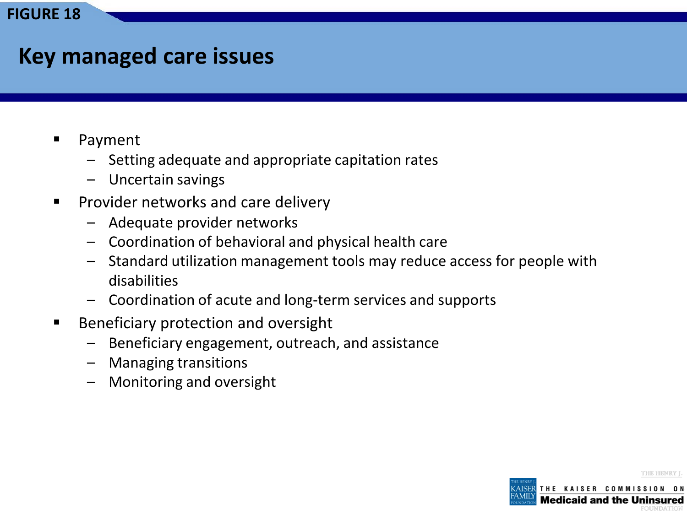### **Key managed care issues**

- Payment
	- Setting adequate and appropriate capitation rates
	- Uncertain savings
- **Provider networks and care delivery** 
	- Adequate provider networks
	- Coordination of behavioral and physical health care
	- Standard utilization management tools may reduce access for people with disabilities
	- Coordination of acute and long-term services and supports
- **Beneficiary protection and oversight** 
	- Beneficiary engagement, outreach, and assistance
	- Managing transitions
	- Monitoring and oversight

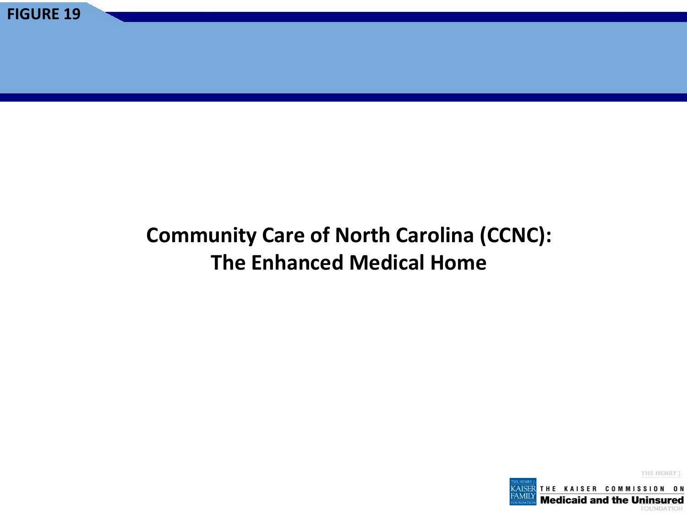### **Community Care of North Carolina (CCNC): The Enhanced Medical Home**

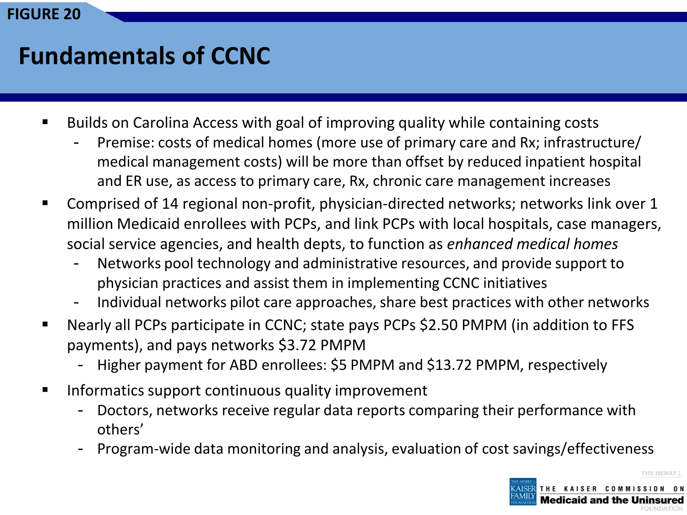### **Fundamentals of CCNC**

- Builds on Carolina Access with goal of improving quality while containing costs
	- Premise: costs of medical homes (more use of primary care and Rx; infrastructure/ medical management costs) will be more than offset by reduced inpatient hospital and ER use, as access to primary care, Rx, chronic care management increases
- Comprised of 14 regional non-profit, physician-directed networks; networks link over 1 million Medicaid enrollees with PCPs, and link PCPs with local hospitals, case managers, social service agencies, and health depts, to function as *enhanced medical homes* 
	- Networks pool technology and administrative resources, and provide support to physician practices and assist them in implementing CCNC initiatives
	- Individual networks pilot care approaches, share best practices with other networks
- Nearly all PCPs participate in CCNC; state pays PCPs \$2.50 PMPM (in addition to FFS payments), and pays networks \$3.72 PMPM
	- Higher payment for ABD enrollees: \$5 PMPM and \$13.72 PMPM, respectively
- **IFM** Informatics support continuous quality improvement
	- Doctors, networks receive regular data reports comparing their performance with others'
	- Program-wide data monitoring and analysis, evaluation of cost savings/effectiveness

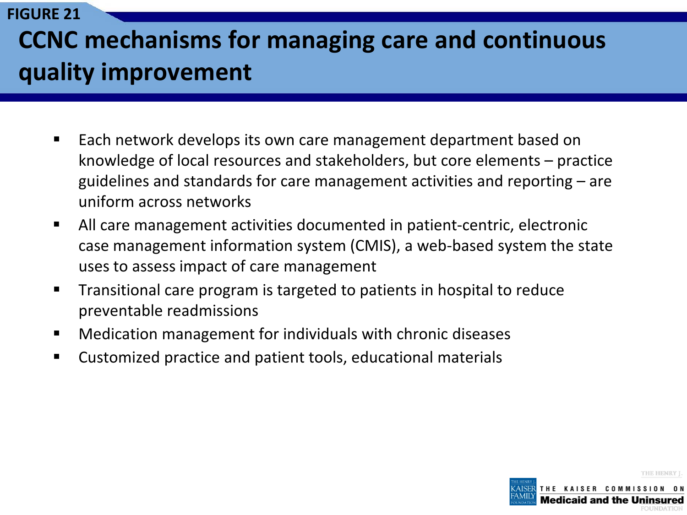# **CCNC mechanisms for managing care and continuous quality improvement**

**FIGURE 21**

- Each network develops its own care management department based on knowledge of local resources and stakeholders, but core elements – practice guidelines and standards for care management activities and reporting – are uniform across networks
- All care management activities documented in patient-centric, electronic case management information system (CMIS), a web-based system the state uses to assess impact of care management
- Transitional care program is targeted to patients in hospital to reduce preventable readmissions
- Medication management for individuals with chronic diseases
- Customized practice and patient tools, educational materials

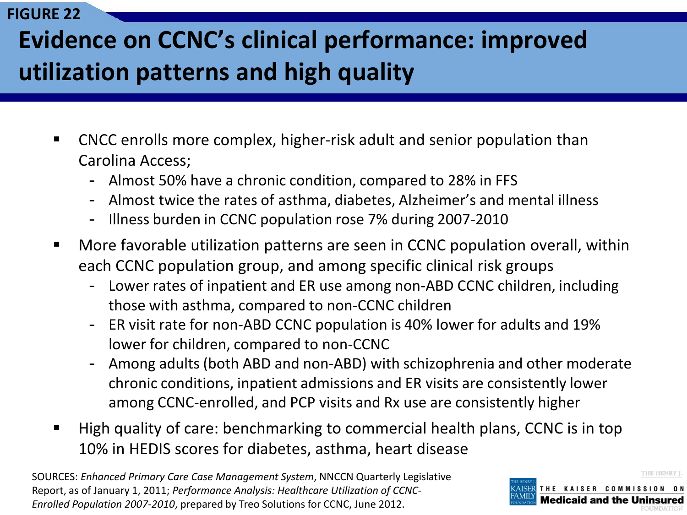# **Evidence on CCNC's clinical performance: improved utilization patterns and high quality**

- CNCC enrolls more complex, higher-risk adult and senior population than Carolina Access;
	- Almost 50% have a chronic condition, compared to 28% in FFS
	- Almost twice the rates of asthma, diabetes, Alzheimer's and mental illness
	- Illness burden in CCNC population rose 7% during 2007-2010
- More favorable utilization patterns are seen in CCNC population overall, within each CCNC population group, and among specific clinical risk groups
	- Lower rates of inpatient and ER use among non-ABD CCNC children, including those with asthma, compared to non-CCNC children
	- ER visit rate for non-ABD CCNC population is 40% lower for adults and 19% lower for children, compared to non-CCNC
	- Among adults (both ABD and non-ABD) with schizophrenia and other moderate chronic conditions, inpatient admissions and ER visits are consistently lower among CCNC-enrolled, and PCP visits and Rx use are consistently higher
- High quality of care: benchmarking to commercial health plans, CCNC is in top 10% in HEDIS scores for diabetes, asthma, heart disease

SOURCES: *Enhanced Primary Care Case Management System*, NNCCN Quarterly Legislative Report, as of January 1, 2011; *Performance Analysis: Healthcare Utilization of CCNC-Enrolled Population 2007-2010*, prepared by Treo Solutions for CCNC, June 2012.

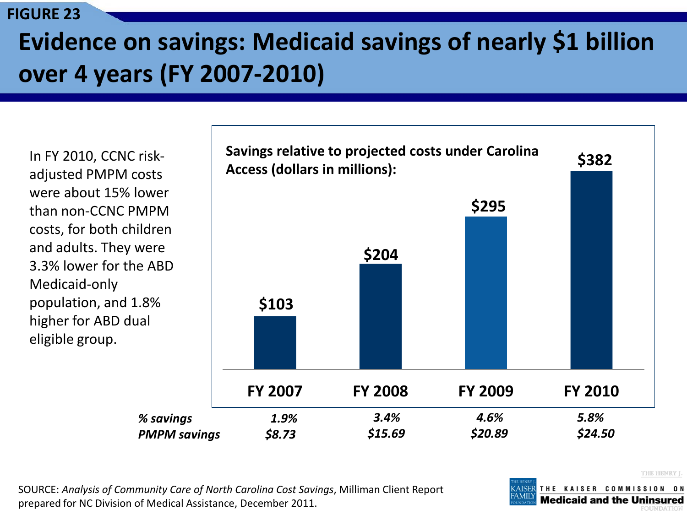# **Evidence on savings: Medicaid savings of nearly \$1 billion over 4 years (FY 2007-2010)**

In FY 2010, CCNC riskadjusted PMPM costs were about 15% lower than non-CCNC PMPM costs, for both children and adults. They were 3.3% lower for the ABD Medicaid-only population, and 1.8% higher for ABD dual eligible group.



SOURCE: *Analysis of Community Care of North Carolina Cost Savings*, Milliman Client Report prepared for NC Division of Medical Assistance, December 2011.

THE HENRY I.

THE KAISER COMMISSION ON **Medicaid and the Uninsured**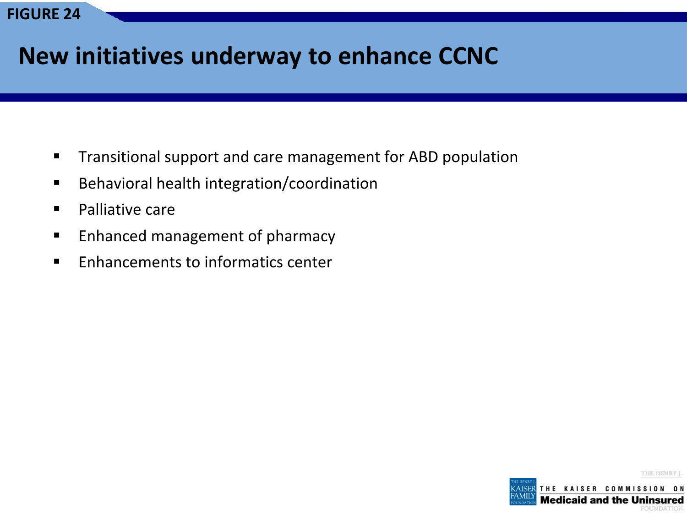### **New initiatives underway to enhance CCNC**

- **Transitional support and care management for ABD population**
- **Behavioral health integration/coordination**
- **Palliative care**
- **Enhanced management of pharmacy**
- **Enhancements to informatics center**